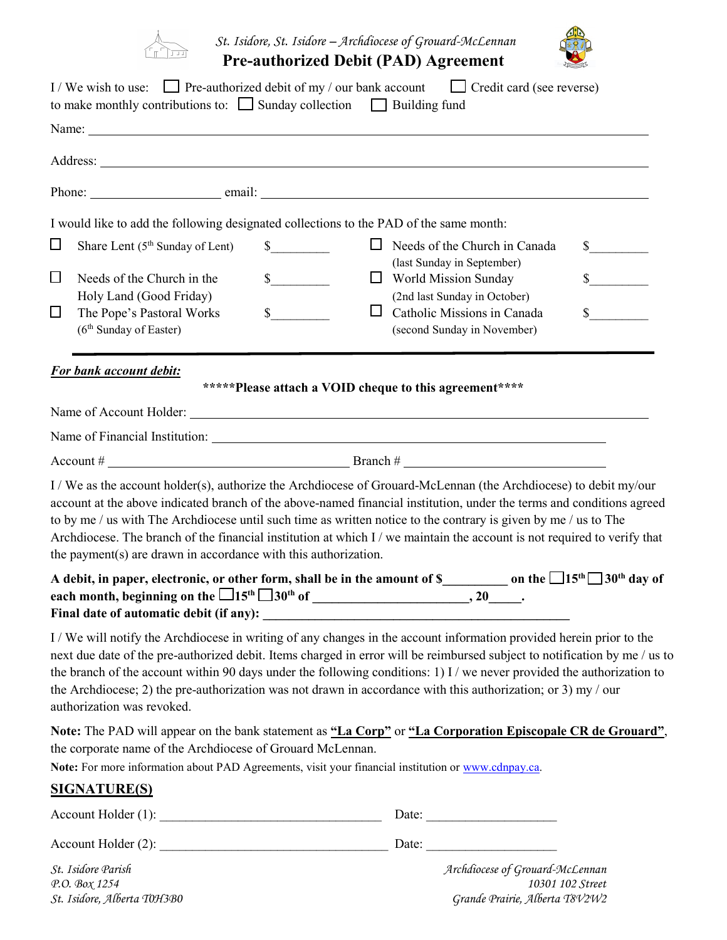

 *St. Isidore, St. Isidore – Archdiocese of Grouard-McLennan* **Pre-authorized Debit (PAD) Agreement** 



|        |                                                                     | I/We wish to use: Pre-authorized debit of my / our bank account Credit card (see reverse)<br>to make monthly contributions to: $\Box$ Sunday collection $\Box$ Building fund                                                                                                                                                                                                                                                                                                                |              |
|--------|---------------------------------------------------------------------|---------------------------------------------------------------------------------------------------------------------------------------------------------------------------------------------------------------------------------------------------------------------------------------------------------------------------------------------------------------------------------------------------------------------------------------------------------------------------------------------|--------------|
|        |                                                                     | Name: Name and the second contract of the second contract of the second contract of the second contract of the second contract of the second contract of the second contract of the second contract of the second contract of                                                                                                                                                                                                                                                               |              |
|        |                                                                     |                                                                                                                                                                                                                                                                                                                                                                                                                                                                                             |              |
|        |                                                                     |                                                                                                                                                                                                                                                                                                                                                                                                                                                                                             |              |
|        |                                                                     | I would like to add the following designated collections to the PAD of the same month:                                                                                                                                                                                                                                                                                                                                                                                                      |              |
| $\Box$ | Share Lent (5 <sup>th</sup> Sunday of Lent)                         | $\Box$ Needs of the Church in Canada<br>$\sim$<br>(last Sunday in September)                                                                                                                                                                                                                                                                                                                                                                                                                | $\mathbb{S}$ |
| □      | Needs of the Church in the<br>Holy Land (Good Friday)               | $\frac{\text{S}}{\text{S}}$<br>$\Box$ World Mission Sunday<br>(2nd last Sunday in October)                                                                                                                                                                                                                                                                                                                                                                                                  | $\mathbb{S}$ |
| $\Box$ | The Pope's Pastoral Works<br>(6 <sup>th</sup> Sunday of Easter)     | s<br>Catholic Missions in Canada<br>$\Box$<br>(second Sunday in November)                                                                                                                                                                                                                                                                                                                                                                                                                   | $\sim$       |
|        | <b>For bank account debit:</b>                                      |                                                                                                                                                                                                                                                                                                                                                                                                                                                                                             |              |
|        |                                                                     | *****Please attach a VOID cheque to this agreement****                                                                                                                                                                                                                                                                                                                                                                                                                                      |              |
|        |                                                                     |                                                                                                                                                                                                                                                                                                                                                                                                                                                                                             |              |
|        |                                                                     |                                                                                                                                                                                                                                                                                                                                                                                                                                                                                             |              |
|        | the payment( $s$ ) are drawn in accordance with this authorization. | I / We as the account holder(s), authorize the Archdiocese of Grouard-McLennan (the Archdiocese) to debit my/our<br>account at the above indicated branch of the above-named financial institution, under the terms and conditions agreed<br>to by me / us with The Archdiocese until such time as written notice to the contrary is given by me / us to The<br>Archdiocese. The branch of the financial institution at which I / we maintain the account is not required to verify that    |              |
|        | Final date of automatic debit (if any):                             | A debit, in paper, electronic, or other form, shall be in the amount of \$_________________ on the $\Box$ 15 <sup>th</sup> $\Box$ 30 <sup>th</sup> day of<br><u> 1980 - Jan Sterling von Berling von Berling von Berling von Berling von Berling von Berling von Berling von B</u>                                                                                                                                                                                                          |              |
|        | authorization was revoked.                                          | I/We will notify the Archdiocese in writing of any changes in the account information provided herein prior to the<br>next due date of the pre-authorized debit. Items charged in error will be reimbursed subject to notification by me / us to<br>the branch of the account within 90 days under the following conditions: 1) I / we never provided the authorization to<br>the Archdiocese; 2) the pre-authorization was not drawn in accordance with this authorization; or 3) my / our |              |
|        | the corporate name of the Archdiocese of Grouard McLennan.          | Note: The PAD will appear on the bank statement as "La Corp" or "La Corporation Episcopale CR de Grouard",<br>Note: For more information about PAD Agreements, visit your financial institution or www.cdnpay.ca.                                                                                                                                                                                                                                                                           |              |
|        | <b>SIGNATURE(S)</b>                                                 |                                                                                                                                                                                                                                                                                                                                                                                                                                                                                             |              |
|        | AccountلHolder(1):                                                  | Date: $\frac{1}{\sqrt{1-\frac{1}{2}} \cdot \frac{1}{2}}$                                                                                                                                                                                                                                                                                                                                                                                                                                    |              |
|        |                                                                     |                                                                                                                                                                                                                                                                                                                                                                                                                                                                                             |              |
|        | St. Isidore Parish                                                  | Archdiocese of Grouard-McLennan                                                                                                                                                                                                                                                                                                                                                                                                                                                             |              |

*P.O. Box 1254 10301 102 Street St. Isidore, Alberta T0H3B0 Grande Prairie, Alberta T8V2W2*